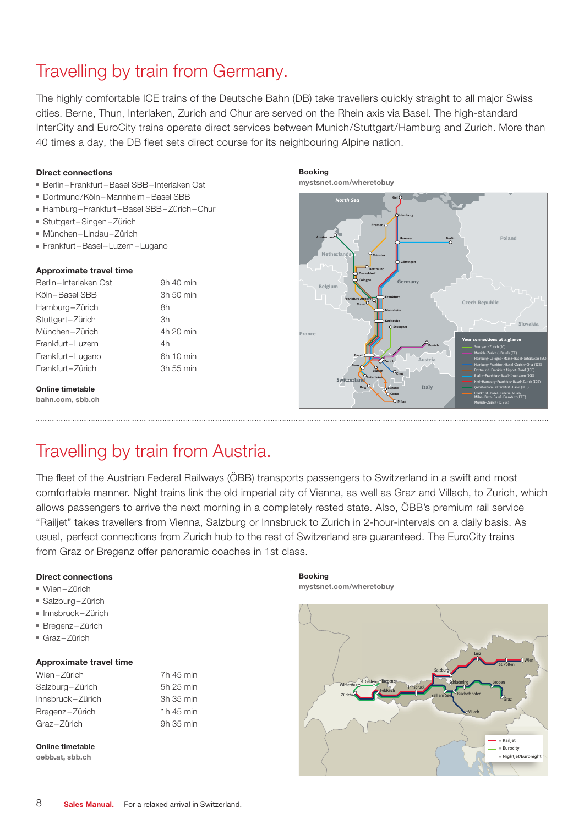# Travelling by train from Germany.

The highly comfortable ICE trains of the Deutsche Bahn (DB) take travellers quickly straight to all major Swiss cities. Berne, Thun, Interlaken, Zurich and Chur are served on the Rhein axis via Basel. The high-standard InterCity and EuroCity trains operate direct services between Munich/Stuttgart/Hamburg and Zurich. More than 40 times a day, the DB fleet sets direct course for its neighbouring Alpine nation.

# Direct connections

- Berlin Frankfurt –Basel SBB– Interlaken Ost
- Dortmund/Köln Mannheim –Basel SBB
- Hamburg Frankfurt –Basel SBB– Zürich Chur
- Stuttgart Singen Zürich
- München Lindau Zürich
- Frankfurt –Basel Luzern Lugano

## Approximate travel time

| Berlin-Interlaken Ost | 9h 40 min |
|-----------------------|-----------|
| Köln-Basel SBB        | 3h 50 min |
| Hamburg-Zürich        | 8h        |
| Stuttgart-Zürich      | 3h        |
| München-Zürich        | 4h 20 min |
| Frankfurt-Luzern      | 4h        |
| Frankfurt-Lugano      | 6h 10 min |
| Frankfurt-Zürich      | 3h 55 min |
|                       |           |

#### Online timetable

[bahn.com](http://bahn.com), [sbb.ch](http://sbb.ch)





# Travelling by train from Austria.

The fleet of the Austrian Federal Railways (ÖBB) transports passengers to Switzerland in a swift and most comfortable manner. Night trains link the old imperial city of Vienna, as well as Graz and Villach, to Zurich, which allows passengers to arrive the next morning in a completely rested state. Also, ÖBB's premium rail service "Railjet" takes travellers from Vienna, Salzburg or Innsbruck to Zurich in 2-hour-intervals on a daily basis. As usual, perfect connections from Zurich hub to the rest of Switzerland are guaranteed. The EuroCity trains from Graz or Bregenz offer panoramic coaches in 1st class.

## Direct connections

- Wien Zürich
- Salzburg-Zürich
- Innsbruck Zürich
- Bregenz Zürich
- Graz-Zürich

## Approximate travel time

| Wien-Zürich        | 7h 45 min |
|--------------------|-----------|
| Salzburg-Zürich    | 5h 25 min |
| $Innsbruck-Zürich$ | 3h 35 min |
| Bregenz-Zürich     | 1h 45 min |
| Graz-Zürich        | 9h 35 min |

Online timetable

[oebb.at](http://oebb.at), [sbb.ch](http://sbb.ch)

Booking [mystsnet.com/wheretobuy](http://Mystsnet.com/wheretobuy)